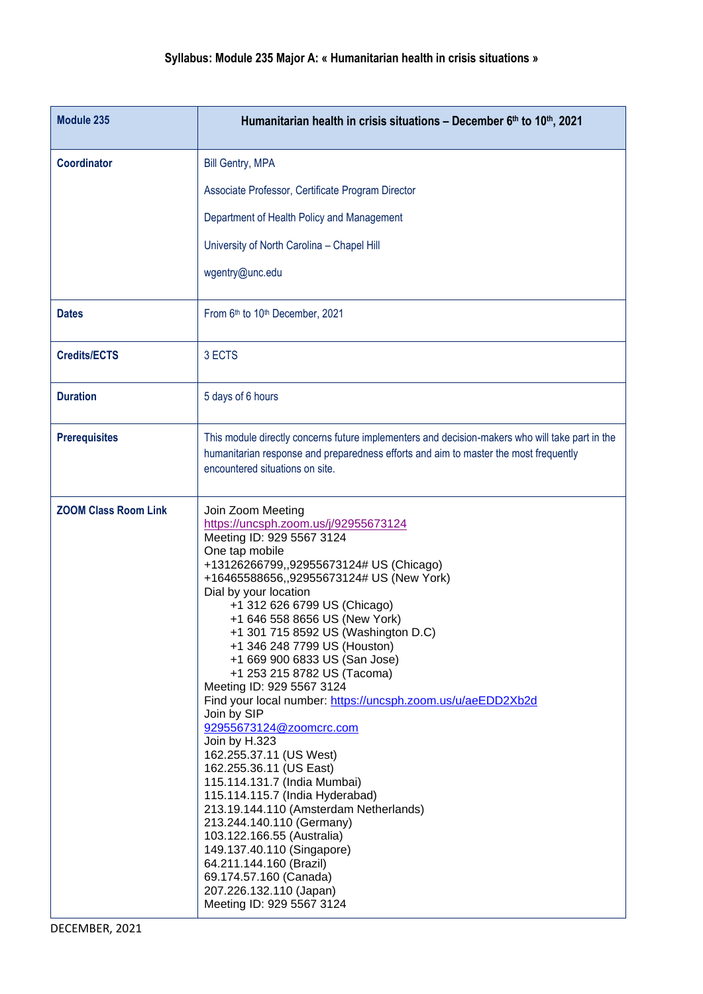## **Syllabus: Module 235 Major A: « Humanitarian health in crisis situations »**

| Module 235                  | Humanitarian health in crisis situations - December 6th to 10th, 2021                                                                                                                                                                                                                                                                                                                                                                                                                                                                                                                                                                                                                                                                                                                                                                                                                                                                                            |
|-----------------------------|------------------------------------------------------------------------------------------------------------------------------------------------------------------------------------------------------------------------------------------------------------------------------------------------------------------------------------------------------------------------------------------------------------------------------------------------------------------------------------------------------------------------------------------------------------------------------------------------------------------------------------------------------------------------------------------------------------------------------------------------------------------------------------------------------------------------------------------------------------------------------------------------------------------------------------------------------------------|
| <b>Coordinator</b>          | <b>Bill Gentry, MPA</b>                                                                                                                                                                                                                                                                                                                                                                                                                                                                                                                                                                                                                                                                                                                                                                                                                                                                                                                                          |
|                             | Associate Professor, Certificate Program Director                                                                                                                                                                                                                                                                                                                                                                                                                                                                                                                                                                                                                                                                                                                                                                                                                                                                                                                |
|                             | Department of Health Policy and Management                                                                                                                                                                                                                                                                                                                                                                                                                                                                                                                                                                                                                                                                                                                                                                                                                                                                                                                       |
|                             | University of North Carolina - Chapel Hill                                                                                                                                                                                                                                                                                                                                                                                                                                                                                                                                                                                                                                                                                                                                                                                                                                                                                                                       |
|                             | wgentry@unc.edu                                                                                                                                                                                                                                                                                                                                                                                                                                                                                                                                                                                                                                                                                                                                                                                                                                                                                                                                                  |
| <b>Dates</b>                | From 6th to 10th December, 2021                                                                                                                                                                                                                                                                                                                                                                                                                                                                                                                                                                                                                                                                                                                                                                                                                                                                                                                                  |
| <b>Credits/ECTS</b>         | 3 ECTS                                                                                                                                                                                                                                                                                                                                                                                                                                                                                                                                                                                                                                                                                                                                                                                                                                                                                                                                                           |
| <b>Duration</b>             | 5 days of 6 hours                                                                                                                                                                                                                                                                                                                                                                                                                                                                                                                                                                                                                                                                                                                                                                                                                                                                                                                                                |
| <b>Prerequisites</b>        | This module directly concerns future implementers and decision-makers who will take part in the<br>humanitarian response and preparedness efforts and aim to master the most frequently<br>encountered situations on site.                                                                                                                                                                                                                                                                                                                                                                                                                                                                                                                                                                                                                                                                                                                                       |
| <b>ZOOM Class Room Link</b> | Join Zoom Meeting<br>https://uncsph.zoom.us/j/92955673124<br>Meeting ID: 929 5567 3124<br>One tap mobile<br>+13126266799,,92955673124# US (Chicago)<br>+16465588656,,92955673124# US (New York)<br>Dial by your location<br>+1 312 626 6799 US (Chicago)<br>+1 646 558 8656 US (New York)<br>+1 301 715 8592 US (Washington D.C)<br>+1 346 248 7799 US (Houston)<br>+1 669 900 6833 US (San Jose)<br>+1 253 215 8782 US (Tacoma)<br>Meeting ID: 929 5567 3124<br>Find your local number: https://uncsph.zoom.us/u/aeEDD2Xb2d<br>Join by SIP<br>92955673124@zoomcrc.com<br>Join by H.323<br>162.255.37.11 (US West)<br>162.255.36.11 (US East)<br>115.114.131.7 (India Mumbai)<br>115.114.115.7 (India Hyderabad)<br>213.19.144.110 (Amsterdam Netherlands)<br>213.244.140.110 (Germany)<br>103.122.166.55 (Australia)<br>149.137.40.110 (Singapore)<br>64.211.144.160 (Brazil)<br>69.174.57.160 (Canada)<br>207.226.132.110 (Japan)<br>Meeting ID: 929 5567 3124 |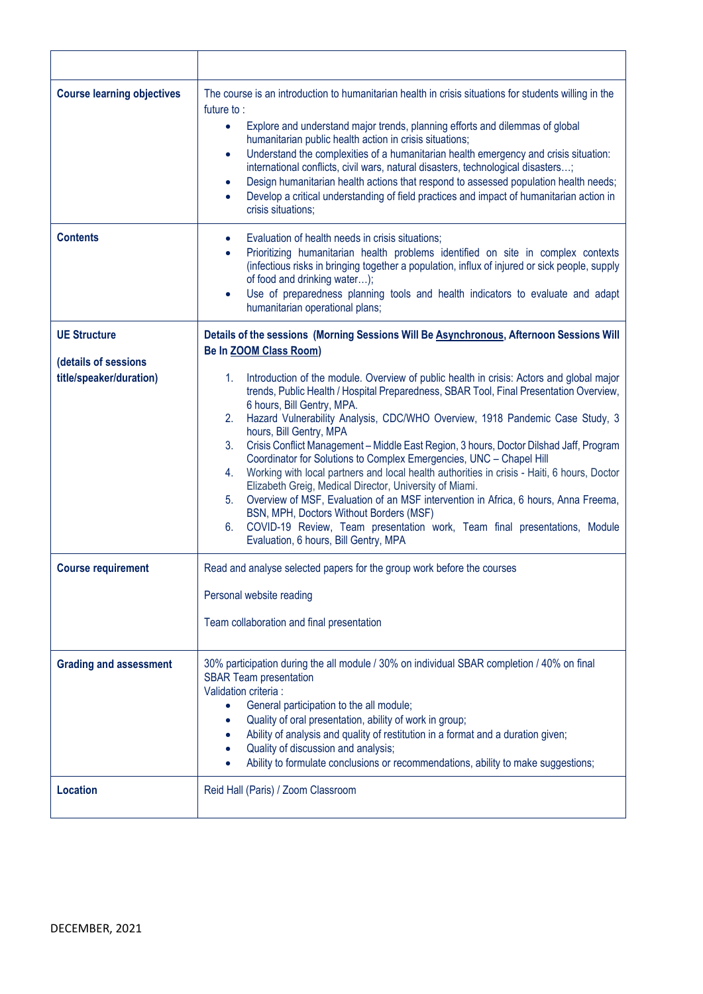| <b>Course learning objectives</b>           | The course is an introduction to humanitarian health in crisis situations for students willing in the<br>future to:<br>Explore and understand major trends, planning efforts and dilemmas of global<br>$\bullet$<br>humanitarian public health action in crisis situations;<br>Understand the complexities of a humanitarian health emergency and crisis situation:<br>$\bullet$<br>international conflicts, civil wars, natural disasters, technological disasters;<br>Design humanitarian health actions that respond to assessed population health needs;<br>$\bullet$<br>Develop a critical understanding of field practices and impact of humanitarian action in<br>$\bullet$<br>crisis situations:                                                                                                                                                                                                                                           |
|---------------------------------------------|----------------------------------------------------------------------------------------------------------------------------------------------------------------------------------------------------------------------------------------------------------------------------------------------------------------------------------------------------------------------------------------------------------------------------------------------------------------------------------------------------------------------------------------------------------------------------------------------------------------------------------------------------------------------------------------------------------------------------------------------------------------------------------------------------------------------------------------------------------------------------------------------------------------------------------------------------|
| <b>Contents</b>                             | Evaluation of health needs in crisis situations;<br>$\bullet$<br>Prioritizing humanitarian health problems identified on site in complex contexts<br>$\bullet$<br>(infectious risks in bringing together a population, influx of injured or sick people, supply<br>of food and drinking water);<br>Use of preparedness planning tools and health indicators to evaluate and adapt<br>$\bullet$<br>humanitarian operational plans;                                                                                                                                                                                                                                                                                                                                                                                                                                                                                                                  |
| <b>UE Structure</b><br>(details of sessions | Details of the sessions (Morning Sessions Will Be Asynchronous, Afternoon Sessions Will<br><b>Be In ZOOM Class Room)</b>                                                                                                                                                                                                                                                                                                                                                                                                                                                                                                                                                                                                                                                                                                                                                                                                                           |
| title/speaker/duration)                     | Introduction of the module. Overview of public health in crisis: Actors and global major<br>1.<br>trends, Public Health / Hospital Preparedness, SBAR Tool, Final Presentation Overview,<br>6 hours, Bill Gentry, MPA.<br>Hazard Vulnerability Analysis, CDC/WHO Overview, 1918 Pandemic Case Study, 3<br>2.<br>hours, Bill Gentry, MPA<br>3.<br>Crisis Conflict Management - Middle East Region, 3 hours, Doctor Dilshad Jaff, Program<br>Coordinator for Solutions to Complex Emergencies, UNC - Chapel Hill<br>Working with local partners and local health authorities in crisis - Haiti, 6 hours, Doctor<br>4.<br>Elizabeth Greig, Medical Director, University of Miami.<br>Overview of MSF, Evaluation of an MSF intervention in Africa, 6 hours, Anna Freema,<br>5.<br>BSN, MPH, Doctors Without Borders (MSF)<br>COVID-19 Review, Team presentation work, Team final presentations, Module<br>6.<br>Evaluation, 6 hours, Bill Gentry, MPA |
| <b>Course requirement</b>                   | Read and analyse selected papers for the group work before the courses                                                                                                                                                                                                                                                                                                                                                                                                                                                                                                                                                                                                                                                                                                                                                                                                                                                                             |
|                                             | Personal website reading<br>Team collaboration and final presentation                                                                                                                                                                                                                                                                                                                                                                                                                                                                                                                                                                                                                                                                                                                                                                                                                                                                              |
| <b>Grading and assessment</b>               | 30% participation during the all module / 30% on individual SBAR completion / 40% on final<br><b>SBAR Team presentation</b><br>Validation criteria :<br>General participation to the all module;<br>$\bullet$<br>Quality of oral presentation, ability of work in group;<br>$\bullet$<br>Ability of analysis and quality of restitution in a format and a duration given;<br>Quality of discussion and analysis;<br>Ability to formulate conclusions or recommendations, ability to make suggestions;                                                                                                                                                                                                                                                                                                                                                                                                                                              |
| <b>Location</b>                             | Reid Hall (Paris) / Zoom Classroom                                                                                                                                                                                                                                                                                                                                                                                                                                                                                                                                                                                                                                                                                                                                                                                                                                                                                                                 |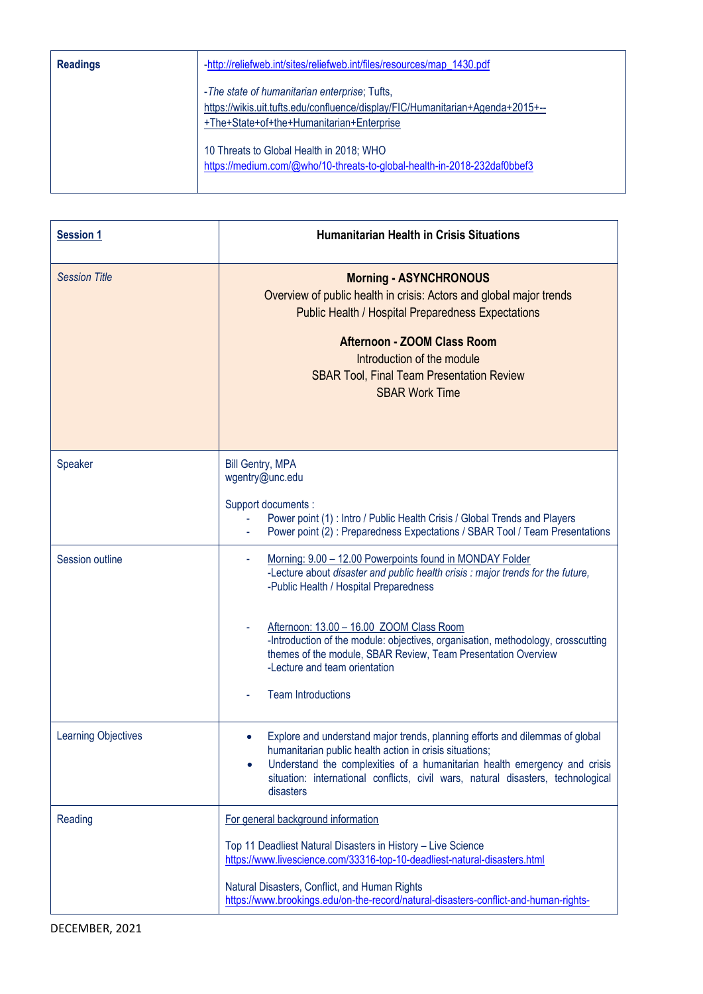| <b>Readings</b> | -http://reliefweb.int/sites/reliefweb.int/files/resources/map_1430.pdf                                                                                                       |
|-----------------|------------------------------------------------------------------------------------------------------------------------------------------------------------------------------|
|                 | -The state of humanitarian enterprise; Tufts,<br>https://wikis.uit.tufts.edu/confluence/display/FIC/Humanitarian+Agenda+2015+--<br>+The+State+of+the+Humanitarian+Enterprise |
|                 | 10 Threats to Global Health in 2018; WHO<br>https://medium.com/@who/10-threats-to-global-health-in-2018-232daf0bbef3                                                         |

| <b>Session 1</b>           | <b>Humanitarian Health in Crisis Situations</b>                                                                                                                                                                                                                                                                                                                                                                                                      |
|----------------------------|------------------------------------------------------------------------------------------------------------------------------------------------------------------------------------------------------------------------------------------------------------------------------------------------------------------------------------------------------------------------------------------------------------------------------------------------------|
| <b>Session Title</b>       | <b>Morning - ASYNCHRONOUS</b><br>Overview of public health in crisis: Actors and global major trends<br><b>Public Health / Hospital Preparedness Expectations</b><br><b>Afternoon - ZOOM Class Room</b><br>Introduction of the module<br><b>SBAR Tool, Final Team Presentation Review</b><br><b>SBAR Work Time</b>                                                                                                                                   |
| Speaker                    | <b>Bill Gentry, MPA</b><br>wgentry@unc.edu<br>Support documents :<br>Power point (1) : Intro / Public Health Crisis / Global Trends and Players<br>Power point (2): Preparedness Expectations / SBAR Tool / Team Presentations                                                                                                                                                                                                                       |
| Session outline            | Morning: 9.00 - 12.00 Powerpoints found in MONDAY Folder<br>-Lecture about disaster and public health crisis : major trends for the future,<br>-Public Health / Hospital Preparedness<br>Afternoon: 13.00 - 16.00 ZOOM Class Room<br>-Introduction of the module: objectives, organisation, methodology, crosscutting<br>themes of the module, SBAR Review, Team Presentation Overview<br>-Lecture and team orientation<br><b>Team Introductions</b> |
| <b>Learning Objectives</b> | Explore and understand major trends, planning efforts and dilemmas of global<br>humanitarian public health action in crisis situations;<br>Understand the complexities of a humanitarian health emergency and crisis<br>$\bullet$<br>situation: international conflicts, civil wars, natural disasters, technological<br>disasters                                                                                                                   |
| Reading                    | For general background information<br>Top 11 Deadliest Natural Disasters in History - Live Science<br>https://www.livescience.com/33316-top-10-deadliest-natural-disasters.html<br>Natural Disasters, Conflict, and Human Rights<br>https://www.brookings.edu/on-the-record/natural-disasters-conflict-and-human-rights-                                                                                                                             |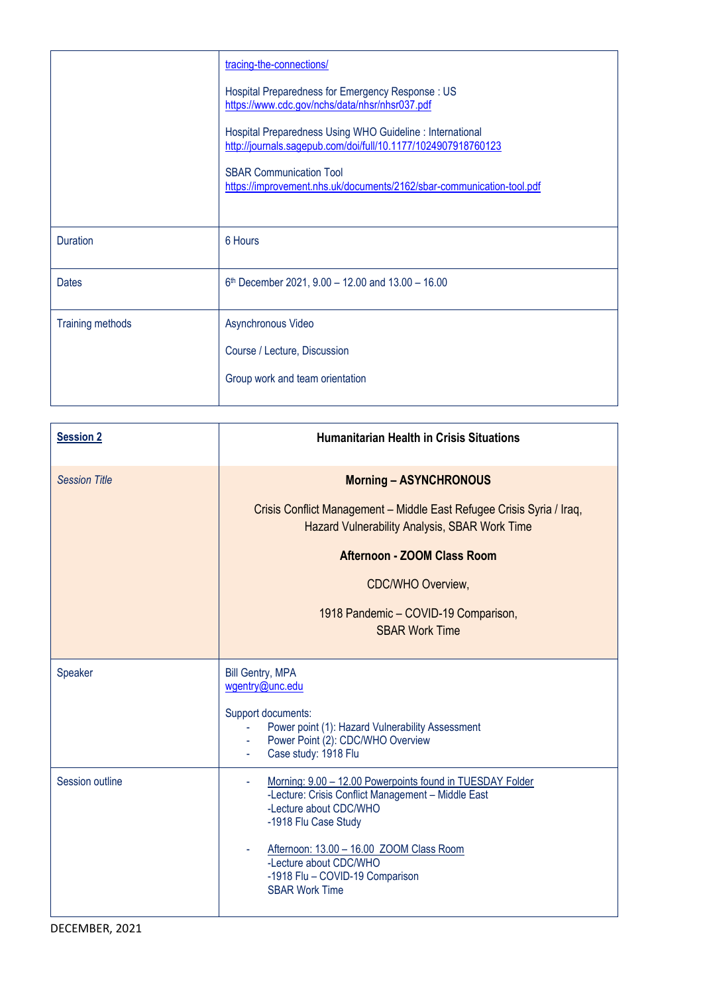|                         | tracing-the-connections/                                                                                                   |
|-------------------------|----------------------------------------------------------------------------------------------------------------------------|
|                         | Hospital Preparedness for Emergency Response: US<br>https://www.cdc.gov/nchs/data/nhsr/nhsr037.pdf                         |
|                         | Hospital Preparedness Using WHO Guideline : International<br>http://journals.sagepub.com/doi/full/10.1177/1024907918760123 |
|                         | <b>SBAR Communication Tool</b><br>https://improvement.nhs.uk/documents/2162/sbar-communication-tool.pdf                    |
|                         |                                                                                                                            |
| <b>Duration</b>         | 6 Hours                                                                                                                    |
| <b>Dates</b>            | $6th$ December 2021, 9.00 - 12.00 and 13.00 - 16.00                                                                        |
| <b>Training methods</b> | Asynchronous Video                                                                                                         |
|                         | Course / Lecture, Discussion                                                                                               |
|                         | Group work and team orientation                                                                                            |
|                         |                                                                                                                            |

| <b>Session 2</b>     | <b>Humanitarian Health in Crisis Situations</b>                                                                                                                                                                                                                                                          |
|----------------------|----------------------------------------------------------------------------------------------------------------------------------------------------------------------------------------------------------------------------------------------------------------------------------------------------------|
| <b>Session Title</b> | <b>Morning - ASYNCHRONOUS</b>                                                                                                                                                                                                                                                                            |
|                      | Crisis Conflict Management - Middle East Refugee Crisis Syria / Iraq,<br><b>Hazard Vulnerability Analysis, SBAR Work Time</b>                                                                                                                                                                            |
|                      | Afternoon - ZOOM Class Room                                                                                                                                                                                                                                                                              |
|                      | <b>CDC/WHO Overview,</b>                                                                                                                                                                                                                                                                                 |
|                      | 1918 Pandemic - COVID-19 Comparison,<br><b>SBAR Work Time</b>                                                                                                                                                                                                                                            |
| Speaker              | <b>Bill Gentry, MPA</b><br>wgentry@unc.edu<br>Support documents:<br>Power point (1): Hazard Vulnerability Assessment<br>Power Point (2): CDC/WHO Overview<br>Case study: 1918 Flu                                                                                                                        |
| Session outline      | Morning: 9.00 - 12.00 Powerpoints found in TUESDAY Folder<br>٠<br>-Lecture: Crisis Conflict Management - Middle East<br>-Lecture about CDC/WHO<br>-1918 Flu Case Study<br>Afternoon: 13.00 - 16.00 ZOOM Class Room<br>-Lecture about CDC/WHO<br>-1918 Flu - COVID-19 Comparison<br><b>SBAR Work Time</b> |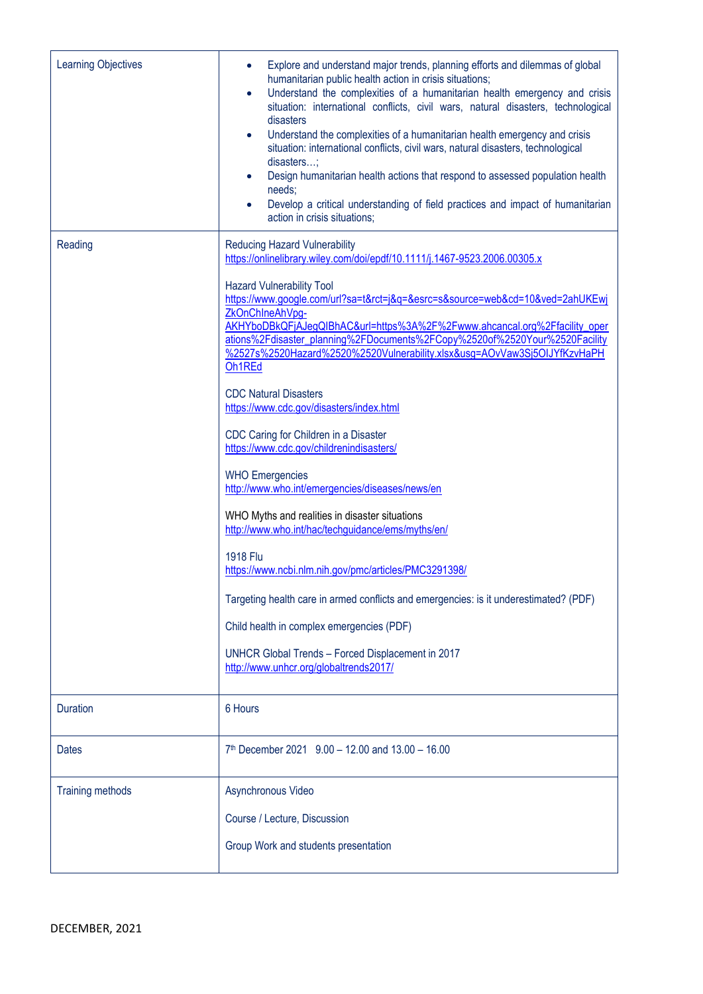| <b>Learning Objectives</b> | Explore and understand major trends, planning efforts and dilemmas of global<br>humanitarian public health action in crisis situations;<br>Understand the complexities of a humanitarian health emergency and crisis<br>$\bullet$<br>situation: international conflicts, civil wars, natural disasters, technological<br>disasters<br>Understand the complexities of a humanitarian health emergency and crisis<br>$\bullet$<br>situation: international conflicts, civil wars, natural disasters, technological<br>disasters;<br>Design humanitarian health actions that respond to assessed population health<br>needs;<br>Develop a critical understanding of field practices and impact of humanitarian<br>$\bullet$<br>action in crisis situations;                                                                                                                                                                                                                                                                                                                                                                                                                         |
|----------------------------|----------------------------------------------------------------------------------------------------------------------------------------------------------------------------------------------------------------------------------------------------------------------------------------------------------------------------------------------------------------------------------------------------------------------------------------------------------------------------------------------------------------------------------------------------------------------------------------------------------------------------------------------------------------------------------------------------------------------------------------------------------------------------------------------------------------------------------------------------------------------------------------------------------------------------------------------------------------------------------------------------------------------------------------------------------------------------------------------------------------------------------------------------------------------------------|
| Reading                    | <b>Reducing Hazard Vulnerability</b><br>https://onlinelibrary.wiley.com/doi/epdf/10.1111/j.1467-9523.2006.00305.x<br><b>Hazard Vulnerability Tool</b><br>https://www.google.com/url?sa=t&rct=j&q=&esrc=s&source=web&cd=10&ved=2ahUKEwj<br>ZkOnChIneAhVpq-<br>AKHYboDBkQFjAJegQlBhAC&url=https%3A%2F%2Fwww.ahcancal.org%2Ffacility_oper<br>ations%2Fdisaster_planning%2FDocuments%2FCopy%2520of%2520Your%2520Facility<br>%2527s%2520Hazard%2520%2520Vulnerability.xlsx&usg=AOvVaw3Sj5OIJYfKzvHaPH<br>Oh1REd<br><b>CDC Natural Disasters</b><br>https://www.cdc.gov/disasters/index.html<br>CDC Caring for Children in a Disaster<br>https://www.cdc.gov/childrenindisasters/<br><b>WHO Emergencies</b><br>http://www.who.int/emergencies/diseases/news/en<br>WHO Myths and realities in disaster situations<br>http://www.who.int/hac/techguidance/ems/myths/en/<br><b>1918 Flu</b><br>https://www.ncbi.nlm.nih.gov/pmc/articles/PMC3291398/<br>Targeting health care in armed conflicts and emergencies: is it underestimated? (PDF)<br>Child health in complex emergencies (PDF)<br>UNHCR Global Trends - Forced Displacement in 2017<br>http://www.unhcr.org/globaltrends2017/ |
| <b>Duration</b>            | 6 Hours                                                                                                                                                                                                                                                                                                                                                                                                                                                                                                                                                                                                                                                                                                                                                                                                                                                                                                                                                                                                                                                                                                                                                                          |
| <b>Dates</b>               | 7th December 2021 9.00 - 12.00 and 13.00 - 16.00                                                                                                                                                                                                                                                                                                                                                                                                                                                                                                                                                                                                                                                                                                                                                                                                                                                                                                                                                                                                                                                                                                                                 |
| <b>Training methods</b>    | Asynchronous Video<br>Course / Lecture, Discussion<br>Group Work and students presentation                                                                                                                                                                                                                                                                                                                                                                                                                                                                                                                                                                                                                                                                                                                                                                                                                                                                                                                                                                                                                                                                                       |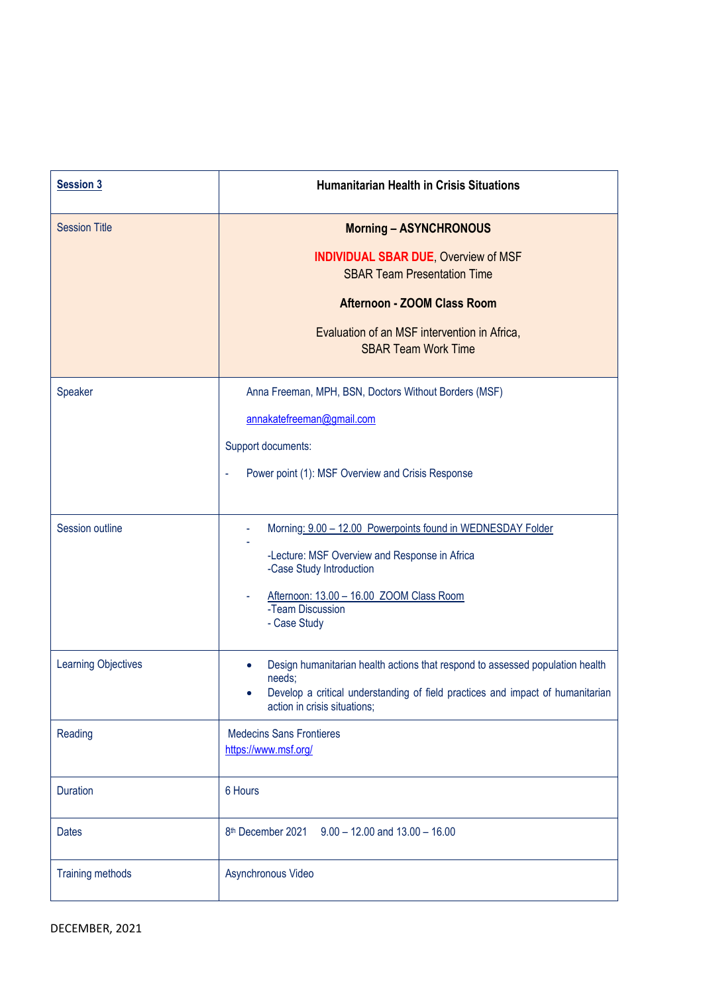| <b>Session 3</b>           | <b>Humanitarian Health in Crisis Situations</b>                                                                          |
|----------------------------|--------------------------------------------------------------------------------------------------------------------------|
| <b>Session Title</b>       | <b>Morning - ASYNCHRONOUS</b>                                                                                            |
|                            | <b>INDIVIDUAL SBAR DUE, Overview of MSF</b><br><b>SBAR Team Presentation Time</b>                                        |
|                            | <b>Afternoon - ZOOM Class Room</b>                                                                                       |
|                            | Evaluation of an MSF intervention in Africa,<br><b>SBAR Team Work Time</b>                                               |
| Speaker                    | Anna Freeman, MPH, BSN, Doctors Without Borders (MSF)                                                                    |
|                            | annakatefreeman@gmail.com                                                                                                |
|                            | Support documents:                                                                                                       |
|                            | Power point (1): MSF Overview and Crisis Response                                                                        |
| Session outline            | Morning: 9.00 - 12.00 Powerpoints found in WEDNESDAY Folder                                                              |
|                            | -Lecture: MSF Overview and Response in Africa<br>-Case Study Introduction                                                |
|                            | Afternoon: 13.00 - 16.00 ZOOM Class Room<br>-Team Discussion<br>- Case Study                                             |
| <b>Learning Objectives</b> | Design humanitarian health actions that respond to assessed population health                                            |
|                            | needs;<br>Develop a critical understanding of field practices and impact of humanitarian<br>action in crisis situations; |
| Reading                    | <b>Medecins Sans Frontieres</b><br>https://www.msf.org/                                                                  |
| <b>Duration</b>            | 6 Hours                                                                                                                  |
| <b>Dates</b>               | 8th December 2021 9.00 - 12.00 and 13.00 - 16.00                                                                         |
| Training methods           | Asynchronous Video                                                                                                       |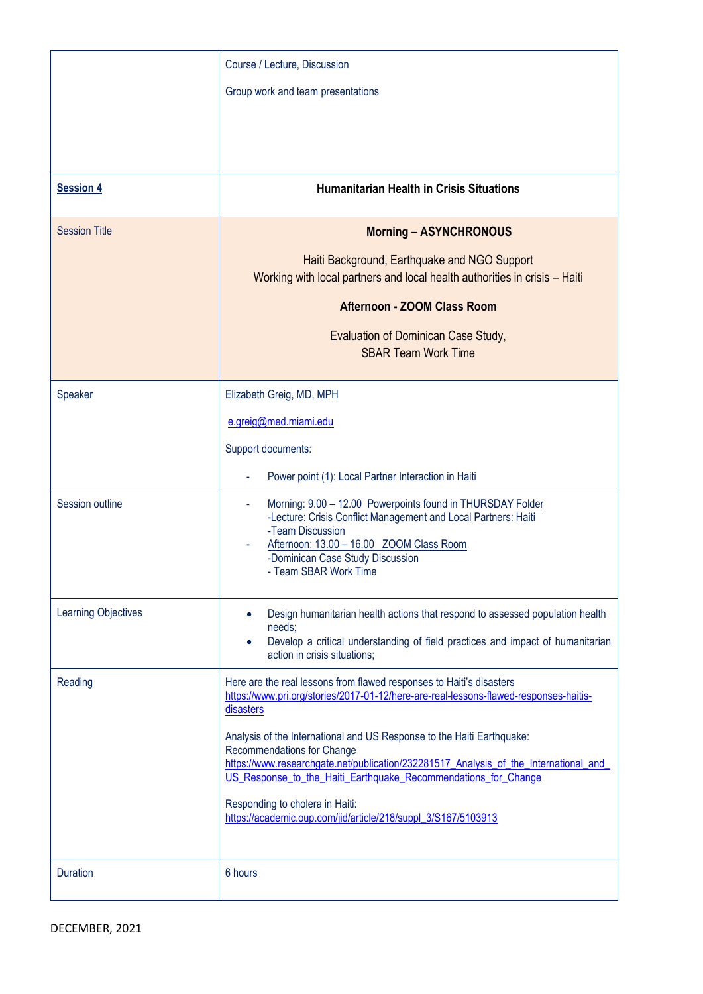| <b>Session 4</b><br><b>Session Title</b> | Course / Lecture, Discussion<br>Group work and team presentations<br><b>Humanitarian Health in Crisis Situations</b><br><b>Morning - ASYNCHRONOUS</b><br>Haiti Background, Earthquake and NGO Support                                                                                                                                                                                                                                                                                                                                             |
|------------------------------------------|---------------------------------------------------------------------------------------------------------------------------------------------------------------------------------------------------------------------------------------------------------------------------------------------------------------------------------------------------------------------------------------------------------------------------------------------------------------------------------------------------------------------------------------------------|
|                                          | Working with local partners and local health authorities in crisis - Haiti<br><b>Afternoon - ZOOM Class Room</b><br>Evaluation of Dominican Case Study,<br><b>SBAR Team Work Time</b>                                                                                                                                                                                                                                                                                                                                                             |
| Speaker                                  | Elizabeth Greig, MD, MPH<br>e.greig@med.miami.edu<br>Support documents:<br>Power point (1): Local Partner Interaction in Haiti                                                                                                                                                                                                                                                                                                                                                                                                                    |
| Session outline                          | Morning: 9.00 - 12.00 Powerpoints found in THURSDAY Folder<br>٠<br>-Lecture: Crisis Conflict Management and Local Partners: Haiti<br>-Team Discussion<br>Afternoon: 13.00 - 16.00 ZOOM Class Room<br>-Dominican Case Study Discussion<br>- Team SBAR Work Time                                                                                                                                                                                                                                                                                    |
| <b>Learning Objectives</b>               | Design humanitarian health actions that respond to assessed population health<br>needs;<br>Develop a critical understanding of field practices and impact of humanitarian<br>action in crisis situations:                                                                                                                                                                                                                                                                                                                                         |
| Reading                                  | Here are the real lessons from flawed responses to Haiti's disasters<br>https://www.pri.org/stories/2017-01-12/here-are-real-lessons-flawed-responses-haitis-<br>disasters<br>Analysis of the International and US Response to the Haiti Earthquake:<br>Recommendations for Change<br>https://www.researchgate.net/publication/232281517_Analysis_of_the_International_and_<br>US_Response_to_the_Haiti_Earthquake_Recommendations_for_Change<br>Responding to cholera in Haiti:<br>https://academic.oup.com/jid/article/218/suppl_3/S167/5103913 |
| <b>Duration</b>                          | 6 hours                                                                                                                                                                                                                                                                                                                                                                                                                                                                                                                                           |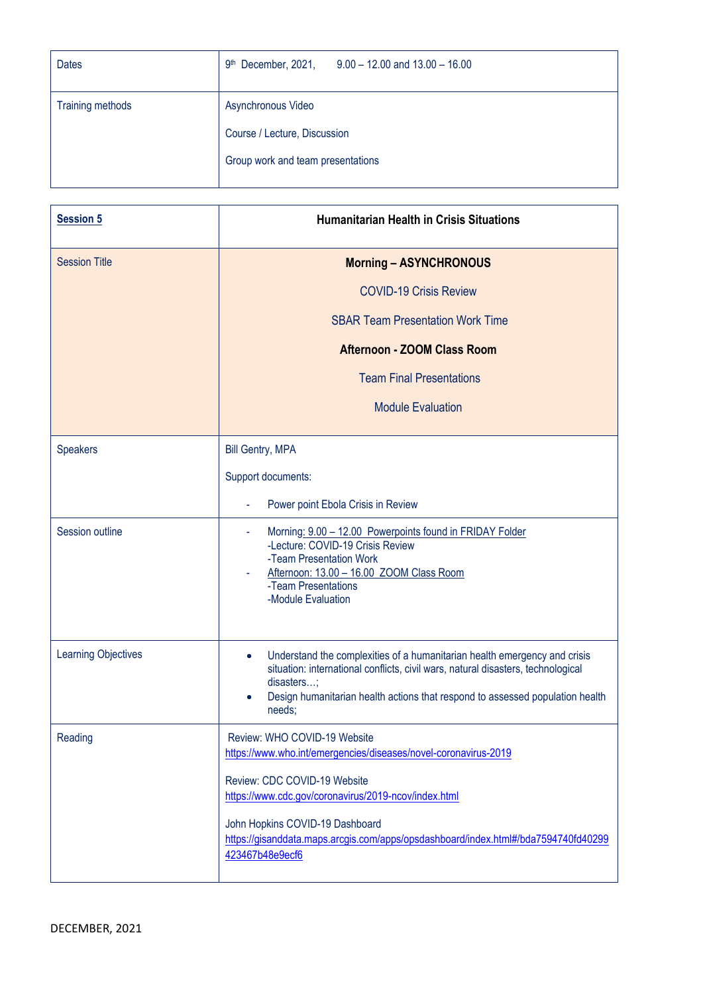| <b>Dates</b>            | 9th December, 2021,<br>$9.00 - 12.00$ and $13.00 - 16.00$ |
|-------------------------|-----------------------------------------------------------|
| <b>Training methods</b> | Asynchronous Video                                        |
|                         | Course / Lecture, Discussion                              |
|                         | Group work and team presentations                         |
|                         |                                                           |

| <b>Session 5</b>           | <b>Humanitarian Health in Crisis Situations</b>                                                                                                                                                                                                                                     |
|----------------------------|-------------------------------------------------------------------------------------------------------------------------------------------------------------------------------------------------------------------------------------------------------------------------------------|
| <b>Session Title</b>       | <b>Morning - ASYNCHRONOUS</b>                                                                                                                                                                                                                                                       |
|                            | <b>COVID-19 Crisis Review</b>                                                                                                                                                                                                                                                       |
|                            | <b>SBAR Team Presentation Work Time</b>                                                                                                                                                                                                                                             |
|                            | Afternoon - ZOOM Class Room                                                                                                                                                                                                                                                         |
|                            | <b>Team Final Presentations</b>                                                                                                                                                                                                                                                     |
|                            | <b>Module Evaluation</b>                                                                                                                                                                                                                                                            |
| <b>Speakers</b>            | <b>Bill Gentry, MPA</b>                                                                                                                                                                                                                                                             |
|                            | Support documents:                                                                                                                                                                                                                                                                  |
|                            | Power point Ebola Crisis in Review                                                                                                                                                                                                                                                  |
| Session outline            | Morning: 9.00 - 12.00 Powerpoints found in FRIDAY Folder<br>-Lecture: COVID-19 Crisis Review<br>-Team Presentation Work<br>Afternoon: 13.00 - 16.00 ZOOM Class Room<br>-Team Presentations<br>-Module Evaluation                                                                    |
| <b>Learning Objectives</b> | Understand the complexities of a humanitarian health emergency and crisis<br>$\bullet$<br>situation: international conflicts, civil wars, natural disasters, technological<br>disasters;<br>Design humanitarian health actions that respond to assessed population health<br>needs; |
| Reading                    | Review: WHO COVID-19 Website<br>https://www.who.int/emergencies/diseases/novel-coronavirus-2019                                                                                                                                                                                     |
|                            | Review: CDC COVID-19 Website<br>https://www.cdc.gov/coronavirus/2019-ncov/index.html                                                                                                                                                                                                |
|                            | John Hopkins COVID-19 Dashboard<br>https://gisanddata.maps.arcgis.com/apps/opsdashboard/index.html#/bda7594740fd40299<br>423467b48e9ecf6                                                                                                                                            |